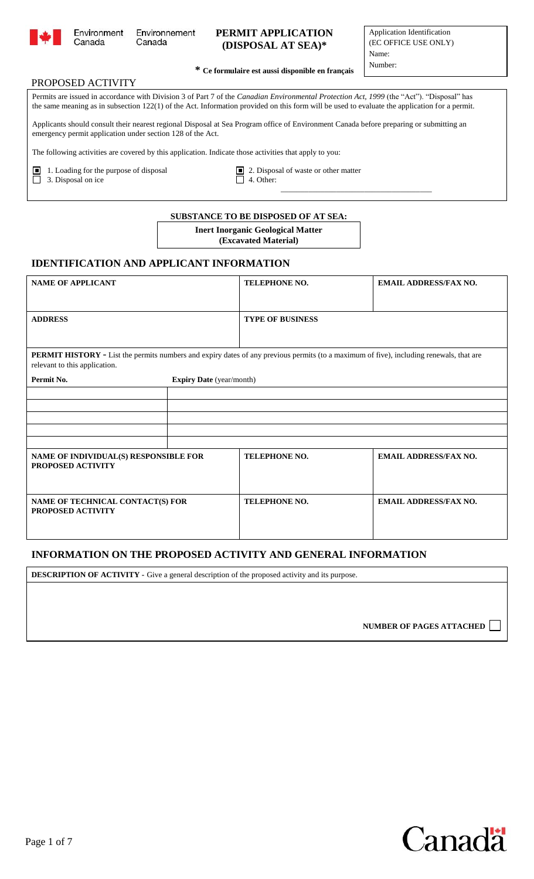

֦

## **PERMIT APPLICATION (DISPOSAL AT SEA)\***

#### PROPOSED ACTIVITY

Canada

\_\_\_\_\_\_\_\_\_\_\_\_\_\_\_\_\_\_\_\_\_\_\_\_\_\_\_\_\_\_\_\_\_\_\_\_\_\_

Permits are issued in accordance with Division 3 of Part 7 of the *Canadian Environmental Protection Act, 1999* (the "Act"). "Disposal" has the same meaning as in subsection 122(1) of the Act. Information provided on this form will be used to evaluate the application for a permit.

Applicants should consult their nearest regional Disposal at Sea Program office of Environment Canada before preparing or submitting an emergency permit application under section 128 of the Act.

The following activities are covered by this application. Indicate those activities that apply to you:

■ 1. Loading for the purpose of disposal ■ 2. Disposal of waste or other matter  $\overline{\Box}$  3. Disposal on ice  $\overline{\Box}$  4. Other:

**SUBSTANCE TO BE DISPOSED OF AT SEA:**

**Inert Inorganic Geological Matter (Excavated Material)**

## **IDENTIFICATION AND APPLICANT INFORMATION**

| <b>NAME OF APPLICANT</b>                                                                                                                                                        |                                 | <b>TELEPHONE NO.</b>    | <b>EMAIL ADDRESS/FAX NO.</b> |
|---------------------------------------------------------------------------------------------------------------------------------------------------------------------------------|---------------------------------|-------------------------|------------------------------|
|                                                                                                                                                                                 |                                 |                         |                              |
| <b>ADDRESS</b>                                                                                                                                                                  |                                 | <b>TYPE OF BUSINESS</b> |                              |
|                                                                                                                                                                                 |                                 |                         |                              |
| <b>PERMIT HISTORY</b> - List the permits numbers and expiry dates of any previous permits (to a maximum of five), including renewals, that are<br>relevant to this application. |                                 |                         |                              |
| Permit No.                                                                                                                                                                      | <b>Expiry Date</b> (year/month) |                         |                              |
|                                                                                                                                                                                 |                                 |                         |                              |
|                                                                                                                                                                                 |                                 |                         |                              |
|                                                                                                                                                                                 |                                 |                         |                              |
|                                                                                                                                                                                 |                                 |                         |                              |
|                                                                                                                                                                                 |                                 |                         |                              |
| NAME OF INDIVIDUAL(S) RESPONSIBLE FOR<br>PROPOSED ACTIVITY                                                                                                                      |                                 | TELEPHONE NO.           | <b>EMAIL ADDRESS/FAX NO.</b> |
| NAME OF TECHNICAL CONTACT(S) FOR<br>PROPOSED ACTIVITY                                                                                                                           |                                 | <b>TELEPHONE NO.</b>    | <b>EMAIL ADDRESS/FAX NO.</b> |

#### **INFORMATION ON THE PROPOSED ACTIVITY AND GENERAL INFORMATION**

**DESCRIPTION OF ACTIVITY -** Give a general description of the proposed activity and its purpose.

**NUMBER OF PAGES ATTACHED** 

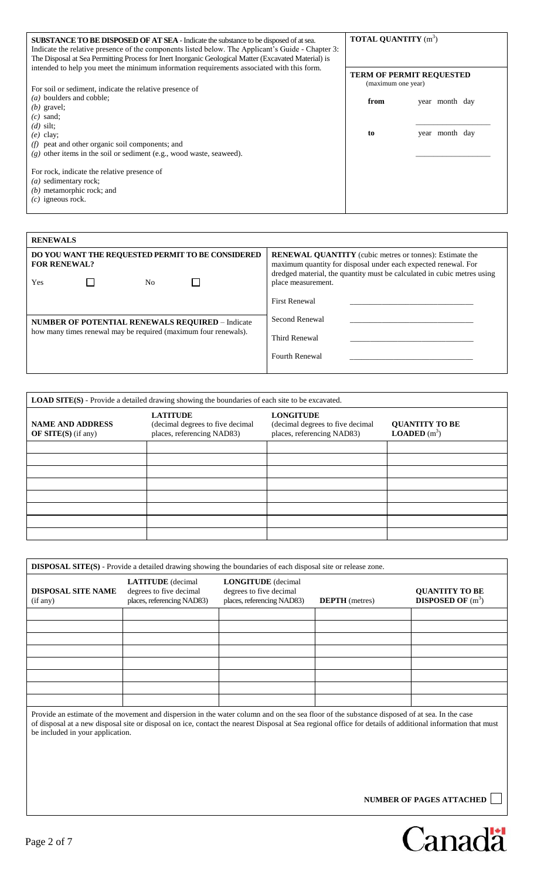| <b>SUBSTANCE TO BE DISPOSED OF AT SEA - Indicate the substance to be disposed of at sea.</b><br>Indicate the relative presence of the components listed below. The Applicant's Guide - Chapter 3:<br>The Disposal at Sea Permitting Process for Inert Inorganic Geological Matter (Excavated Material) is | <b>TOTAL QUANTITY</b> (m <sup>3</sup> )               |                |
|-----------------------------------------------------------------------------------------------------------------------------------------------------------------------------------------------------------------------------------------------------------------------------------------------------------|-------------------------------------------------------|----------------|
| intended to help you meet the minimum information requirements associated with this form.<br>For soil or sediment, indicate the relative presence of                                                                                                                                                      | <b>TERM OF PERMIT REQUESTED</b><br>(maximum one year) |                |
| (a) boulders and cobble;<br>$(b)$ gravel;<br>$(c)$ sand;<br>$(d)$ silt;                                                                                                                                                                                                                                   | from                                                  | year month day |
| $(e)$ clay;<br>$(f)$ peat and other organic soil components; and<br>$(g)$ other items in the soil or sediment (e.g., wood waste, seaweed).                                                                                                                                                                | to                                                    | year month day |
| For rock, indicate the relative presence of<br>$(a)$ sedimentary rock;<br>$(b)$ metamorphic rock; and<br>$(c)$ igneous rock.                                                                                                                                                                              |                                                       |                |

| <b>RENEWALS</b>                                                                       |                                                                                                                                                                                                                                   |
|---------------------------------------------------------------------------------------|-----------------------------------------------------------------------------------------------------------------------------------------------------------------------------------------------------------------------------------|
| DO YOU WANT THE REQUESTED PERMIT TO BE CONSIDERED<br><b>FOR RENEWAL?</b><br>Yes<br>No | <b>RENEWAL QUANTITY</b> (cubic metres or tonnes): Estimate the<br>maximum quantity for disposal under each expected renewal. For<br>dredged material, the quantity must be calculated in cubic metres using<br>place measurement. |
|                                                                                       | <b>First Renewal</b>                                                                                                                                                                                                              |
| <b>NUMBER OF POTENTIAL RENEWALS REQUIRED - Indicate</b>                               | Second Renewal                                                                                                                                                                                                                    |
| how many times renewal may be required (maximum four renewals).                       | Third Renewal                                                                                                                                                                                                                     |
|                                                                                       | <b>Fourth Renewal</b>                                                                                                                                                                                                             |
|                                                                                       |                                                                                                                                                                                                                                   |

| <b>LOAD SITE(S)</b> - Provide a detailed drawing showing the boundaries of each site to be excavated. |                                                                                   |                                                                                    |                                                |
|-------------------------------------------------------------------------------------------------------|-----------------------------------------------------------------------------------|------------------------------------------------------------------------------------|------------------------------------------------|
| <b>NAME AND ADDRESS</b><br>OF SITE $(S)$ (if any)                                                     | <b>LATITUDE</b><br>(decimal degrees to five decimal<br>places, referencing NAD83) | <b>LONGITUDE</b><br>(decimal degrees to five decimal<br>places, referencing NAD83) | <b>QUANTITY TO BE</b><br><b>LOADED</b> $(m^3)$ |
|                                                                                                       |                                                                                   |                                                                                    |                                                |
|                                                                                                       |                                                                                   |                                                                                    |                                                |
|                                                                                                       |                                                                                   |                                                                                    |                                                |
|                                                                                                       |                                                                                   |                                                                                    |                                                |
|                                                                                                       |                                                                                   |                                                                                    |                                                |
|                                                                                                       |                                                                                   |                                                                                    |                                                |
|                                                                                                       |                                                                                   |                                                                                    |                                                |
|                                                                                                       |                                                                                   |                                                                                    |                                                |

| <b>DISPOSAL SITE(S)</b> - Provide a detailed drawing showing the boundaries of each disposal site or release zone. |                                                                                                                                                                                                                                                                                                            |                                                                                    |                       |                                                     |
|--------------------------------------------------------------------------------------------------------------------|------------------------------------------------------------------------------------------------------------------------------------------------------------------------------------------------------------------------------------------------------------------------------------------------------------|------------------------------------------------------------------------------------|-----------------------|-----------------------------------------------------|
| <b>DISPOSAL SITE NAME</b><br>(if any)                                                                              | <b>LATITUDE</b> (decimal<br>degrees to five decimal<br>places, referencing NAD83)                                                                                                                                                                                                                          | <b>LONGITUDE</b> (decimal<br>degrees to five decimal<br>places, referencing NAD83) | <b>DEPTH</b> (metres) | <b>QUANTITY TO BE</b><br><b>DISPOSED OF</b> $(m^3)$ |
|                                                                                                                    |                                                                                                                                                                                                                                                                                                            |                                                                                    |                       |                                                     |
|                                                                                                                    |                                                                                                                                                                                                                                                                                                            |                                                                                    |                       |                                                     |
|                                                                                                                    |                                                                                                                                                                                                                                                                                                            |                                                                                    |                       |                                                     |
|                                                                                                                    |                                                                                                                                                                                                                                                                                                            |                                                                                    |                       |                                                     |
|                                                                                                                    |                                                                                                                                                                                                                                                                                                            |                                                                                    |                       |                                                     |
|                                                                                                                    |                                                                                                                                                                                                                                                                                                            |                                                                                    |                       |                                                     |
| be included in your application.                                                                                   | Provide an estimate of the movement and dispersion in the water column and on the sea floor of the substance disposed of at sea. In the case<br>of disposal at a new disposal site or disposal on ice, contact the nearest Disposal at Sea regional office for details of additional information that must |                                                                                    |                       |                                                     |
|                                                                                                                    |                                                                                                                                                                                                                                                                                                            |                                                                                    |                       | <b>NUMBER OF PAGES ATTACHED</b>                     |

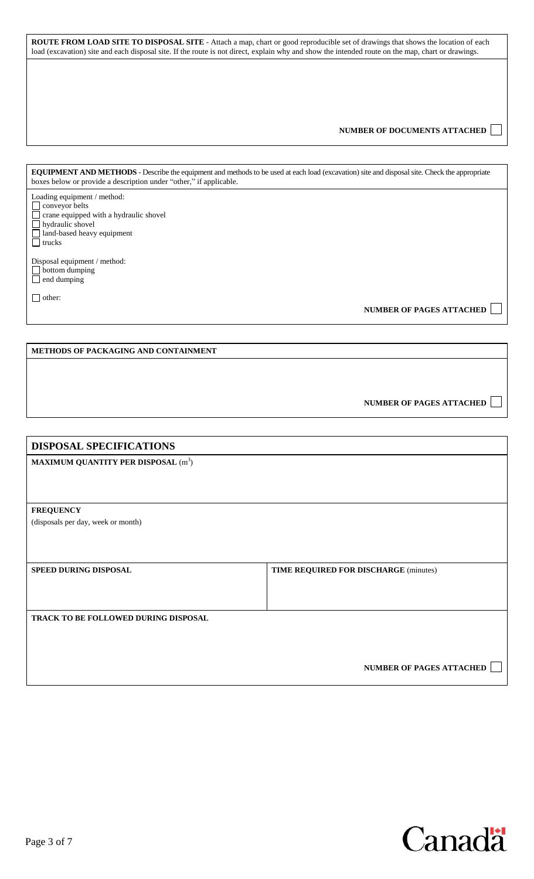**ROUTE FROM LOAD SITE TO DISPOSAL SITE** - Attach a map, chart or good reproducible set of drawings that shows the location of each load (excavation) site and each disposal site. If the route is not direct, explain why and show the intended route on the map, chart or drawings.

#### **NUMBER OF DOCUMENTS ATTACHED**

**EQUIPMENT AND METHODS** - Describe the equipment and methods to be used at each load (excavation) site and disposal site. Check the appropriate boxes below or provide a description under "other," if applicable.

Loading equipment / method: conveyor belts crane equipped with a hydraulic shovel hydraulic shovel land-based heavy equipment **T** trucks

Disposal equipment / method: bottom dumping end dumping

□ other:

 **NUMBER OF PAGES ATTACHED** 

#### **METHODS OF PACKAGING AND CONTAINMENT**

| NUMBER OF PAGES ATTACHED |  |
|--------------------------|--|
|--------------------------|--|

| <b>DISPOSAL SPECIFICATIONS</b>                         |                                       |
|--------------------------------------------------------|---------------------------------------|
| <b>MAXIMUM QUANTITY PER DISPOSAL</b> (m <sup>3</sup> ) |                                       |
|                                                        |                                       |
|                                                        |                                       |
| <b>FREQUENCY</b>                                       |                                       |
| (disposals per day, week or month)                     |                                       |
|                                                        |                                       |
|                                                        |                                       |
| SPEED DURING DISPOSAL                                  | TIME REQUIRED FOR DISCHARGE (minutes) |
|                                                        |                                       |
|                                                        |                                       |
| TRACK TO BE FOLLOWED DURING DISPOSAL                   |                                       |
|                                                        |                                       |
|                                                        |                                       |
|                                                        |                                       |
|                                                        | <b>NUMBER OF PAGES ATTACHED</b>       |

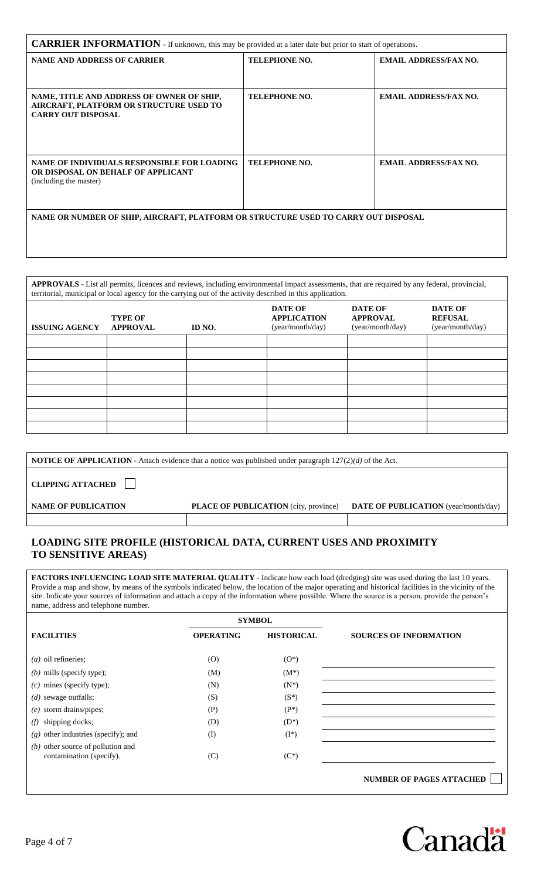| <b>CARRIER INFORMATION</b> - If unknown, this may be provided at a later date but prior to start of operations.   |                      |                              |
|-------------------------------------------------------------------------------------------------------------------|----------------------|------------------------------|
| <b>NAME AND ADDRESS OF CARRIER</b>                                                                                | <b>TELEPHONE NO.</b> | <b>EMAIL ADDRESS/FAX NO.</b> |
| NAME, TITLE AND ADDRESS OF OWNER OF SHIP,<br>AIRCRAFT, PLATFORM OR STRUCTURE USED TO<br><b>CARRY OUT DISPOSAL</b> | <b>TELEPHONE NO.</b> | <b>EMAIL ADDRESS/FAX NO.</b> |
| NAME OF INDIVIDUALS RESPONSIBLE FOR LOADING<br>OR DISPOSAL ON BEHALF OF APPLICANT<br>(including the master)       | <b>TELEPHONE NO.</b> | <b>EMAIL ADDRESS/FAX NO.</b> |
| NAME OR NUMBER OF SHIP, AIRCRAFT, PLATFORM OR STRUCTURE USED TO CARRY OUT DISPOSAL                                |                      |                              |

|                       | APPROVALS - List all permits, licences and reviews, including environmental impact assessments, that are required by any federal, provincial,<br>territorial, municipal or local agency for the carrying out of the activity described in this application. |        |                                                          |                                                |                                               |
|-----------------------|-------------------------------------------------------------------------------------------------------------------------------------------------------------------------------------------------------------------------------------------------------------|--------|----------------------------------------------------------|------------------------------------------------|-----------------------------------------------|
| <b>ISSUING AGENCY</b> | <b>TYPE OF</b><br><b>APPROVAL</b>                                                                                                                                                                                                                           | ID NO. | <b>DATE OF</b><br><b>APPLICATION</b><br>(year/month/day) | DATE OF<br><b>APPROVAL</b><br>(year/month/day) | DATE OF<br><b>REFUSAL</b><br>(year/month/day) |
|                       |                                                                                                                                                                                                                                                             |        |                                                          |                                                |                                               |
|                       |                                                                                                                                                                                                                                                             |        |                                                          |                                                |                                               |
|                       |                                                                                                                                                                                                                                                             |        |                                                          |                                                |                                               |
|                       |                                                                                                                                                                                                                                                             |        |                                                          |                                                |                                               |
|                       |                                                                                                                                                                                                                                                             |        |                                                          |                                                |                                               |
|                       |                                                                                                                                                                                                                                                             |        |                                                          |                                                |                                               |
|                       |                                                                                                                                                                                                                                                             |        |                                                          |                                                |                                               |
|                       |                                                                                                                                                                                                                                                             |        |                                                          |                                                |                                               |

|                            | <b>NOTICE OF APPLICATION</b> - Attach evidence that a notice was published under paragraph $127(2)(d)$ of the Act. |                                             |
|----------------------------|--------------------------------------------------------------------------------------------------------------------|---------------------------------------------|
| <b>CLIPPING ATTACHED</b>   |                                                                                                                    |                                             |
| <b>NAME OF PUBLICATION</b> | <b>PLACE OF PUBLICATION</b> (city, province)                                                                       | <b>DATE OF PUBLICATION</b> (year/month/day) |
|                            |                                                                                                                    |                                             |

# **LOADING SITE PROFILE (HISTORICAL DATA, CURRENT USES AND PROXIMITY TO SENSITIVE AREAS)**

**FACTORS INFLUENCING LOAD SITE MATERIAL QUALITY** - Indicate how each load (dredging) site was used during the last 10 years. Provide a map and show, by means of the symbols indicated below, the location of the major operating and historical facilities in the vicinity of the site. Indicate your sources of information and attach a copy of the information where possible. Where the source is a person, provide the person's name, address and telephone number.

|                                                                 |                  | <b>SYMBOL</b>     |                                 |
|-----------------------------------------------------------------|------------------|-------------------|---------------------------------|
| <b>FACILITIES</b>                                               | <b>OPERATING</b> | <b>HISTORICAL</b> | <b>SOURCES OF INFORMATION</b>   |
| $(a)$ oil refineries;                                           | (0)              | $(O^*)$           |                                 |
| $(b)$ mills (specify type);                                     | (M)              | $(M^*)$           |                                 |
| $(c)$ mines (specify type);                                     | (N)              | $(N^*)$           |                                 |
| $(d)$ sewage outfalls;                                          | (S)              | $(S^*)$           |                                 |
| $(e)$ storm drains/pipes;                                       | (P)              | $(P^*)$           |                                 |
| shipping docks;<br>(f)                                          | (D)              | $(D^*)$           |                                 |
| $(g)$ other industries (specify); and                           | $($ I            | $(I^*)$           |                                 |
| $(h)$ other source of pollution and<br>contamination (specify). | (C)              | $(C^*)$           |                                 |
|                                                                 |                  |                   | <b>NUMBER OF PAGES ATTACHED</b> |

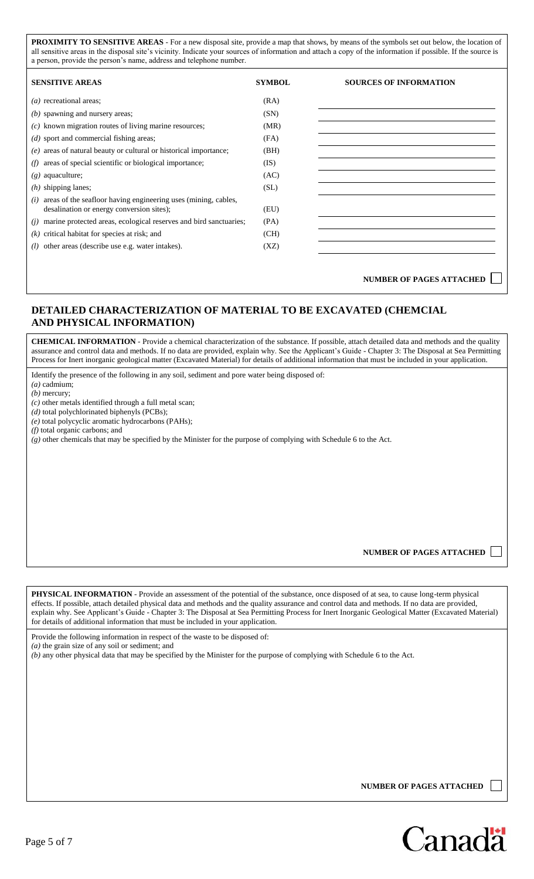**PROXIMITY TO SENSITIVE AREAS** - For a new disposal site, provide a map that shows, by means of the symbols set out below, the location of all sensitive areas in the disposal site's vicinity. Indicate your sources of information and attach a copy of the information if possible. If the source is a person, provide the person's name, address and telephone number.

| <b>SENSITIVE AREAS</b>                                                                                            | <b>SYMBOL</b> | <b>SOURCES OF INFORMATION</b> |
|-------------------------------------------------------------------------------------------------------------------|---------------|-------------------------------|
| $(a)$ recreational areas;                                                                                         | (RA)          |                               |
| $(b)$ spawning and nursery areas;                                                                                 | (SN)          |                               |
| $(c)$ known migration routes of living marine resources;                                                          | (MR)          |                               |
| $(d)$ sport and commercial fishing areas;                                                                         | (FA)          |                               |
| $(e)$ areas of natural beauty or cultural or historical importance;                                               | (BH)          |                               |
| areas of special scientific or biological importance;<br>(f)                                                      | (IS)          |                               |
| $(g)$ aquaculture;                                                                                                | (AC)          |                               |
| $(h)$ shipping lanes;                                                                                             | (SL)          |                               |
| $(i)$ areas of the seafloor having engineering uses (mining, cables,<br>desalination or energy conversion sites); | (EU)          |                               |
| marine protected areas, ecological reserves and bird sanctuaries;<br>(i)                                          | (PA)          |                               |
| $(k)$ critical habitat for species at risk; and                                                                   | (CH)          |                               |
| $(l)$ other areas (describe use e.g. water intakes).                                                              | (XZ)          |                               |

**NUMBER OF PAGES ATTACHED**

## **DETAILED CHARACTERIZATION OF MATERIAL TO BE EXCAVATED (CHEMCIAL AND PHYSICAL INFORMATION)**

**CHEMICAL INFORMATION** - Provide a chemical characterization of the substance. If possible, attach detailed data and methods and the quality assurance and control data and methods. If no data are provided, explain why. See the Applicant's Guide - Chapter 3: The Disposal at Sea Permitting Process for Inert inorganic geological matter (Excavated Material) for details of additional information that must be included in your application.

Identify the presence of the following in any soil, sediment and pore water being disposed of:

*(a)* cadmium; *(b)* mercury;

*(c)* other metals identified through a full metal scan;

*(d)* total polychlorinated biphenyls (PCBs);

*(e)* total polycyclic aromatic hydrocarbons (PAHs);

*(f)* total organic carbons; and

*(g)* other chemicals that may be specified by the Minister for the purpose of complying with Schedule 6 to the Act.

**NUMBER OF PAGES ATTACHED**

**PHYSICAL INFORMATION** - Provide an assessment of the potential of the substance, once disposed of at sea, to cause long-term physical effects. If possible, attach detailed physical data and methods and the quality assurance and control data and methods. If no data are provided, explain why. See Applicant's Guide - Chapter 3: The Disposal at Sea Permitting Process for Inert Inorganic Geological Matter (Excavated Material) for details of additional information that must be included in your application. Provide the following information in respect of the waste to be disposed of: *(a)* the grain size of any soil or sediment; and *(b)* any other physical data that may be specified by the Minister for the purpose of complying with Schedule 6 to the Act.

**NUMBER OF PAGES ATTACHED**

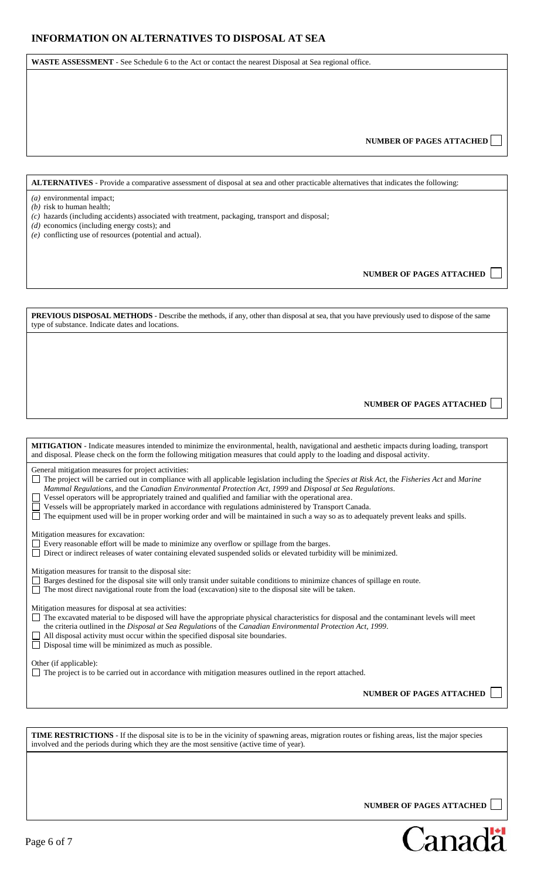**WASTE ASSESSMENT** - See Schedule 6 to the Act or contact the nearest Disposal at Sea regional office.

#### **NUMBER OF PAGES ATTACHED**

**ALTERNATIVES** - Provide a comparative assessment of disposal at sea and other practicable alternatives that indicates the following:

- *(a)* environmental impact;
- *(b)* risk to human health;
- *(c)* hazards (including accidents) associated with treatment, packaging, transport and disposal;
- *(d)* economics (including energy costs); and
- *(e)* conflicting use of resources (potential and actual).

**NUMBER OF PAGES ATTACHED**

**PREVIOUS DISPOSAL METHODS** - Describe the methods, if any, other than disposal at sea, that you have previously used to dispose of the same type of substance. Indicate dates and locations.

> **NUMBER OF PAGES ATTACHED**   $\sim$

| <b>MITIGATION</b> - Indicate measures intended to minimize the environmental, health, navigational and aesthetic impacts during loading, transport<br>and disposal. Please check on the form the following mitigation measures that could apply to the loading and disposal activity.                                                                                                                                                                                                                                                                                                                                                                                      |
|----------------------------------------------------------------------------------------------------------------------------------------------------------------------------------------------------------------------------------------------------------------------------------------------------------------------------------------------------------------------------------------------------------------------------------------------------------------------------------------------------------------------------------------------------------------------------------------------------------------------------------------------------------------------------|
| General mitigation measures for project activities:<br>The project will be carried out in compliance with all applicable legislation including the Species at Risk Act, the Fisheries Act and Marine<br>Mammal Regulations, and the Canadian Environmental Protection Act, 1999 and Disposal at Sea Regulations.<br>Vessel operators will be appropriately trained and qualified and familiar with the operational area.<br>Vessels will be appropriately marked in accordance with regulations administered by Transport Canada.<br>The equipment used will be in proper working order and will be maintained in such a way so as to adequately prevent leaks and spills. |
| Mitigation measures for excavation:<br>Every reasonable effort will be made to minimize any overflow or spillage from the barges.<br>Direct or indirect releases of water containing elevated suspended solids or elevated turbidity will be minimized.                                                                                                                                                                                                                                                                                                                                                                                                                    |
| Mitigation measures for transit to the disposal site:<br>Barges destined for the disposal site will only transit under suitable conditions to minimize chances of spillage en route.<br>The most direct navigational route from the load (excavation) site to the disposal site will be taken.                                                                                                                                                                                                                                                                                                                                                                             |
| Mitigation measures for disposal at sea activities:<br>The excavated material to be disposed will have the appropriate physical characteristics for disposal and the contaminant levels will meet<br>the criteria outlined in the Disposal at Sea Regulations of the Canadian Environmental Protection Act, 1999.<br>All disposal activity must occur within the specified disposal site boundaries.<br>Disposal time will be minimized as much as possible.                                                                                                                                                                                                               |
| Other (if applicable):<br>The project is to be carried out in accordance with mitigation measures outlined in the report attached.                                                                                                                                                                                                                                                                                                                                                                                                                                                                                                                                         |
| <b>NUMBER OF PAGES ATTACHED</b>                                                                                                                                                                                                                                                                                                                                                                                                                                                                                                                                                                                                                                            |
|                                                                                                                                                                                                                                                                                                                                                                                                                                                                                                                                                                                                                                                                            |
| <b>TIME RESTRICTIONS</b> - If the disposal site is to be in the vicinity of spawning areas, migration routes or fishing areas, list the major species<br>involved and the periods during which they are the most sensitive (active time of year).                                                                                                                                                                                                                                                                                                                                                                                                                          |

 **NUMBER OF PAGES ATTACHED**